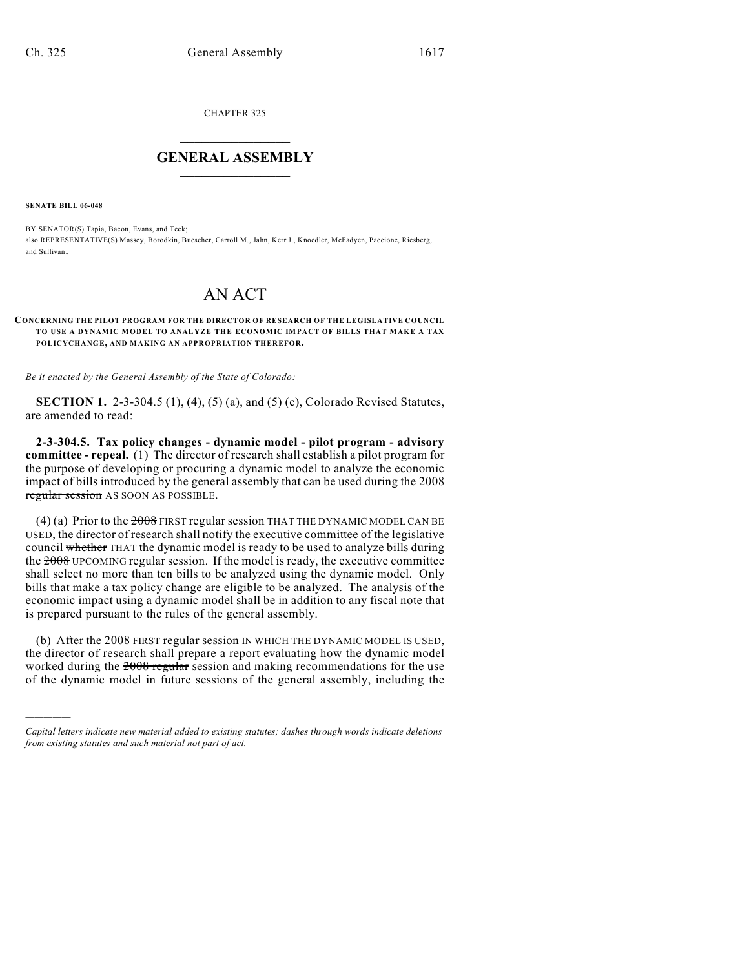CHAPTER 325

## $\overline{\phantom{a}}$  . The set of the set of the set of the set of the set of the set of the set of the set of the set of the set of the set of the set of the set of the set of the set of the set of the set of the set of the set o **GENERAL ASSEMBLY**  $\frac{1}{\sqrt{2}}$

**SENATE BILL 06-048**

)))))

BY SENATOR(S) Tapia, Bacon, Evans, and Teck; also REPRESENTATIVE(S) Massey, Borodkin, Buescher, Carroll M., Jahn, Kerr J., Knoedler, McFadyen, Paccione, Riesberg, and Sullivan.

## AN ACT

## **CONCERNING THE PILOT PROGRAM FOR THE DIRECTOR OF RESEARCH OF THE LEGISLATIVE COUNCIL TO USE A DYNAMIC MODEL TO ANALYZE THE ECONOMIC IMPACT OF BILLS THAT MAKE A TAX POLICYCHANGE, AND MAKING AN APPROPRIATION THEREFOR.**

*Be it enacted by the General Assembly of the State of Colorado:*

**SECTION 1.** 2-3-304.5 (1), (4), (5) (a), and (5) (c), Colorado Revised Statutes, are amended to read:

**2-3-304.5. Tax policy changes - dynamic model - pilot program - advisory committee - repeal.** (1) The director of research shall establish a pilot program for the purpose of developing or procuring a dynamic model to analyze the economic impact of bills introduced by the general assembly that can be used during the 2008 regular session AS SOON AS POSSIBLE.

(4) (a) Prior to the  $2008$  FIRST regular session THAT THE DYNAMIC MODEL CAN BE USED, the director of research shall notify the executive committee of the legislative council whether THAT the dynamic model is ready to be used to analyze bills during the 2008 UPCOMING regular session. If the model is ready, the executive committee shall select no more than ten bills to be analyzed using the dynamic model. Only bills that make a tax policy change are eligible to be analyzed. The analysis of the economic impact using a dynamic model shall be in addition to any fiscal note that is prepared pursuant to the rules of the general assembly.

(b) After the  $2008$  FIRST regular session IN WHICH THE DYNAMIC MODEL IS USED, the director of research shall prepare a report evaluating how the dynamic model worked during the 2008 regular session and making recommendations for the use of the dynamic model in future sessions of the general assembly, including the

*Capital letters indicate new material added to existing statutes; dashes through words indicate deletions from existing statutes and such material not part of act.*